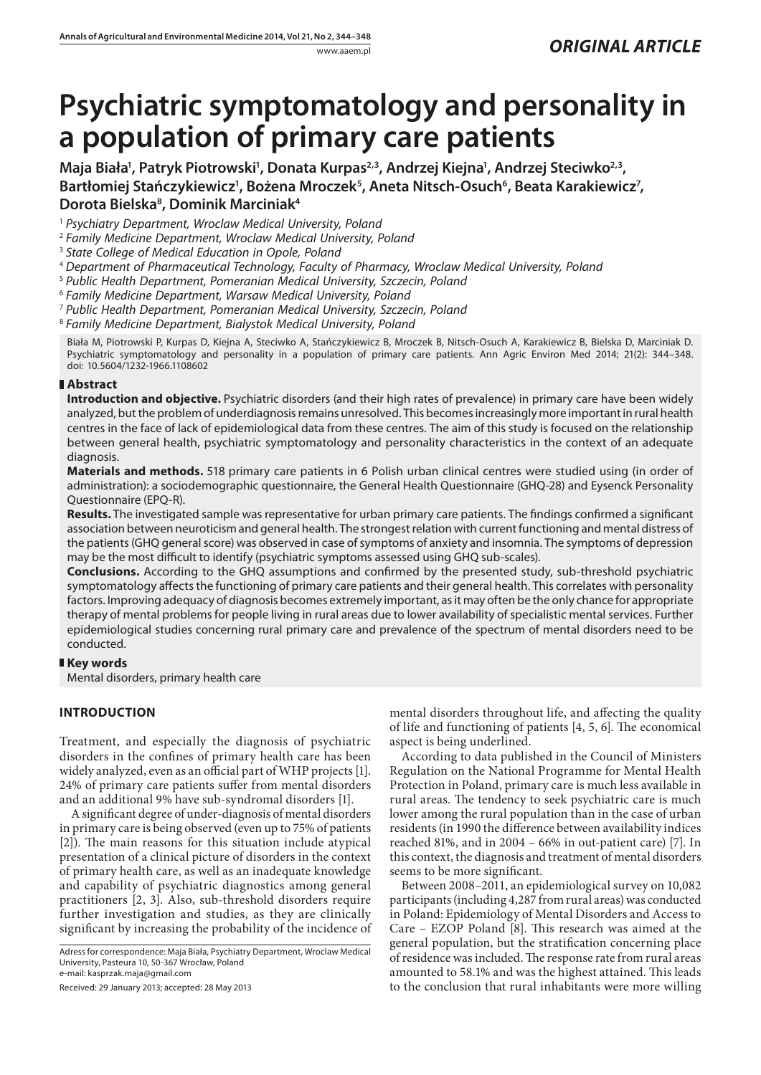# **Psychiatric symptomatology and personality in a population of primary care patients**

Maja Biała<sup>1</sup>, Patryk Piotrowski<sup>1</sup>, Donata Kurpas<sup>2,3</sup>, Andrzej Kiejna<sup>1</sup>, Andrzej Steciwko<sup>2,3</sup>, Bartłomiej Stańczykiewicz<sup>1</sup>, Bożena Mroczek<sup>5</sup>, Aneta Nitsch-Osuch<sup>6</sup>, Beata Karakiewicz<sup>7</sup>, **Dorota Bielska8 , Dominik Marciniak4**

<sup>1</sup> *Psychiatry Department, Wroclaw Medical University, Poland*

<sup>2</sup> *Family Medicine Department, Wroclaw Medical University, Poland*

<sup>3</sup> *State College of Medical Education in Opole, Poland*

<sup>4</sup> *Department of Pharmaceutical Technology, Faculty of Pharmacy, Wroclaw Medical University, Poland*

<sup>5</sup> *Public Health Department, Pomeranian Medical University, Szczecin, Poland*

<sup>6</sup> *Family Medicine Department, Warsaw Medical University, Poland*

<sup>7</sup> *Public Health Department, Pomeranian Medical University, Szczecin, Poland*

<sup>8</sup> *Family Medicine Department, Bialystok Medical University, Poland*

Biała M, Piotrowski P, Kurpas D, Kiejna A, Steciwko A, Stańczykiewicz B, Mroczek B, Nitsch-Osuch A, Karakiewicz B, Bielska D, Marciniak D. Psychiatric symptomatology and personality in a population of primary care patients. Ann Agric Environ Med 2014; 21(2): 344–348. doi: 10.5604/1232-1966.1108602

## **Abstract**

**Introduction and objective.** Psychiatric disorders (and their high rates of prevalence) in primary care have been widely analyzed, but the problem of underdiagnosis remains unresolved. This becomes increasingly more important in rural health centres in the face of lack of epidemiological data from these centres. The aim of this study is focused on the relationship between general health, psychiatric symptomatology and personality characteristics in the context of an adequate diagnosis.

**Materials and methods.** 518 primary care patients in 6 Polish urban clinical centres were studied using (in order of administration): a sociodemographic questionnaire, the General Health Questionnaire (GHQ-28) and Eysenck Personality Questionnaire (EPQ-R).

**Results.** The investigated sample was representative for urban primary care patients. The findings confirmed a significant association between neuroticism and general health. The strongest relation with current functioning and mental distress of the patients (GHQ general score) was observed in case of symptoms of anxiety and insomnia. The symptoms of depression may be the most difficult to identify (psychiatric symptoms assessed using GHQ sub-scales).

**Conclusions.** According to the GHQ assumptions and confirmed by the presented study, sub-threshold psychiatric symptomatology affects the functioning of primary care patients and their general health. This correlates with personality factors. Improving adequacy of diagnosis becomes extremely important, as it may often be the only chance for appropriate therapy of mental problems for people living in rural areas due to lower availability of specialistic mental services. Further epidemiological studies concerning rural primary care and prevalence of the spectrum of mental disorders need to be conducted.

## **Key words**

Mental disorders, primary health care

# **INTRODUCTION**

Treatment, and especially the diagnosis of psychiatric disorders in the confines of primary health care has been widely analyzed, even as an official part of WHP projects [1]. 24% of primary care patients suffer from mental disorders and an additional 9% have sub-syndromal disorders [1].

A significant degree of under-diagnosis of mental disorders in primary care is being observed (even up to 75% of patients [2]). The main reasons for this situation include atypical presentation of a clinical picture of disorders in the context of primary health care, as well as an inadequate knowledge and capability of psychiatric diagnostics among general practitioners [2, 3]. Also, sub-threshold disorders require further investigation and studies, as they are clinically significant by increasing the probability of the incidence of

Adress for correspondence: Maja Biała, Psychiatry Department, Wroclaw Medical University, Pasteura 10, 50-367 Wrocław, Poland e-mail: kasprzak.maja@gmail.com

Received: 29 January 2013; accepted: 28 May 2013

mental disorders throughout life, and affecting the quality of life and functioning of patients [4, 5, 6]. The economical aspect is being underlined.

According to data published in the Council of Ministers Regulation on the National Programme for Mental Health Protection in Poland, primary care is much less available in rural areas. The tendency to seek psychiatric care is much lower among the rural population than in the case of urban residents (in 1990 the difference between availability indices reached 81%, and in 2004 – 66% in out-patient care) [7]. In this context, the diagnosis and treatment of mental disorders seems to be more significant.

Between 2008–2011, an epidemiological survey on 10,082 participants (including 4,287 from rural areas) was conducted in Poland: Epidemiology of Mental Disorders and Access to Care – EZOP Poland [8]. This research was aimed at the general population, but the stratification concerning place of residence was included. The response rate from rural areas amounted to 58.1% and was the highest attained. This leads to the conclusion that rural inhabitants were more willing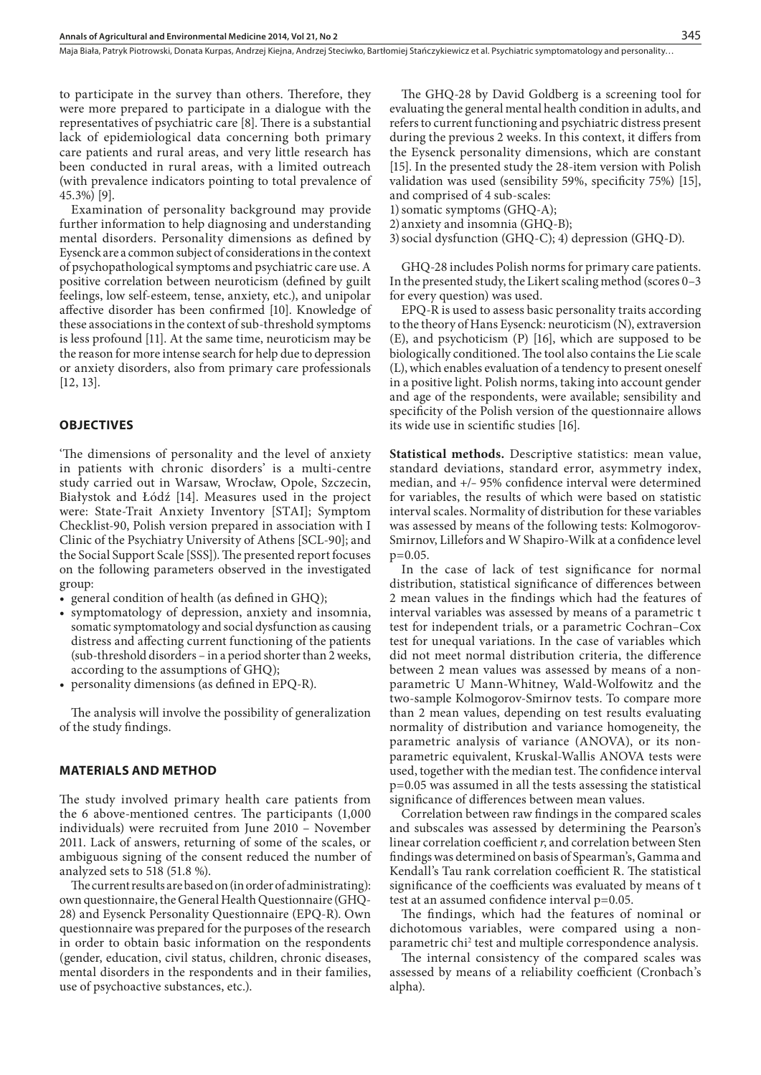Maja Biała, Patryk Piotrowski, Donata Kurpas, Andrzej Kiejna, Andrzej Steciwko, Bartłomiej Stańczykiewicz et al. Psychiatric symptomatology and personality...

to participate in the survey than others. Therefore, they were more prepared to participate in a dialogue with the representatives of psychiatric care [8]. There is a substantial lack of epidemiological data concerning both primary care patients and rural areas, and very little research has been conducted in rural areas, with a limited outreach (with prevalence indicators pointing to total prevalence of 45.3%) [9].

Examination of personality background may provide further information to help diagnosing and understanding mental disorders. Personality dimensions as defined by Eysenck are a common subject of considerations in the context of psychopathological symptoms and psychiatric care use. A positive correlation between neuroticism (defined by guilt feelings, low self-esteem, tense, anxiety, etc.), and unipolar affective disorder has been confirmed [10]. Knowledge of these associations in the context of sub-threshold symptoms is less profound [11]. At the same time, neuroticism may be the reason for more intense search for help due to depression or anxiety disorders, also from primary care professionals [12, 13].

#### **OBJECTIVES**

'The dimensions of personality and the level of anxiety in patients with chronic disorders' is a multi-centre study carried out in Warsaw, Wrocław, Opole, Szczecin, Białystok and Łódź [14]. Measures used in the project were: State-Trait Anxiety Inventory [STAI]; Symptom Checklist-90, Polish version prepared in association with I Clinic of the Psychiatry University of Athens [SCL-90]; and the Social Support Scale [SSS]). The presented report focuses on the following parameters observed in the investigated group:

- general condition of health (as defined in GHQ);
- • symptomatology of depression, anxiety and insomnia, somatic symptomatology and social dysfunction as causing distress and affecting current functioning of the patients (sub-threshold disorders – in a period shorter than 2 weeks, according to the assumptions of GHQ);
- personality dimensions (as defined in EPQ-R).

The analysis will involve the possibility of generalization of the study findings.

#### **MATERIALS AND METHOD**

The study involved primary health care patients from the 6 above-mentioned centres. The participants (1,000 individuals) were recruited from June 2010 – November 2011. Lack of answers, returning of some of the scales, or ambiguous signing of the consent reduced the number of analyzed sets to 518 (51.8 %).

The current results are based on (in order of administrating): own questionnaire, the General Health Questionnaire (GHQ-28) and Eysenck Personality Questionnaire (EPQ-R). Own questionnaire was prepared for the purposes of the research in order to obtain basic information on the respondents (gender, education, civil status, children, chronic diseases, mental disorders in the respondents and in their families, use of psychoactive substances, etc.).

The GHQ-28 by David Goldberg is a screening tool for evaluating the general mental health condition in adults, and refers to current functioning and psychiatric distress present during the previous 2 weeks. In this context, it differs from the Eysenck personality dimensions, which are constant [15]. In the presented study the 28-item version with Polish validation was used (sensibility 59%, specificity 75%) [15], and comprised of 4 sub-scales:

1)somatic symptoms (GHQ-A);

2) anxiety and insomnia (GHQ-B);

3)social dysfunction (GHQ-C); 4) depression (GHQ-D).

GHQ-28 includes Polish norms for primary care patients. In the presented study, the Likert scaling method (scores 0–3 for every question) was used.

EPQ-R is used to assess basic personality traits according to the theory of Hans Eysenck: neuroticism (N), extraversion (E), and psychoticism (P) [16], which are supposed to be biologically conditioned. The tool also contains the Lie scale (L), which enables evaluation of a tendency to present oneself in a positive light. Polish norms, taking into account gender and age of the respondents, were available; sensibility and specificity of the Polish version of the questionnaire allows its wide use in scientific studies [16].

**Statistical methods.** Descriptive statistics: mean value, standard deviations, standard error, asymmetry index, median, and +/– 95% confidence interval were determined for variables, the results of which were based on statistic interval scales. Normality of distribution for these variables was assessed by means of the following tests: Kolmogorov-Smirnov, Lillefors and W Shapiro-Wilk at a confidence level p=0.05.

In the case of lack of test significance for normal distribution, statistical significance of differences between 2 mean values in the findings which had the features of interval variables was assessed by means of a parametric t test for independent trials, or a parametric Cochran–Cox test for unequal variations. In the case of variables which did not meet normal distribution criteria, the difference between 2 mean values was assessed by means of a nonparametric U Mann-Whitney, Wald-Wolfowitz and the two-sample Kolmogorov-Smirnov tests. To compare more than 2 mean values, depending on test results evaluating normality of distribution and variance homogeneity, the parametric analysis of variance (ANOVA), or its nonparametric equivalent, Kruskal-Wallis ANOVA tests were used, together with the median test. The confidence interval p=0.05 was assumed in all the tests assessing the statistical significance of differences between mean values.

Correlation between raw findings in the compared scales and subscales was assessed by determining the Pearson's linear correlation coefficient *r*, and correlation between Sten findings was determined on basis of Spearman's, Gamma and Kendall's Tau rank correlation coefficient R. The statistical significance of the coefficients was evaluated by means of t test at an assumed confidence interval p=0.05.

The findings, which had the features of nominal or dichotomous variables, were compared using a nonparametric chi<sup>2</sup> test and multiple correspondence analysis.

The internal consistency of the compared scales was assessed by means of a reliability coefficient (Cronbach's alpha).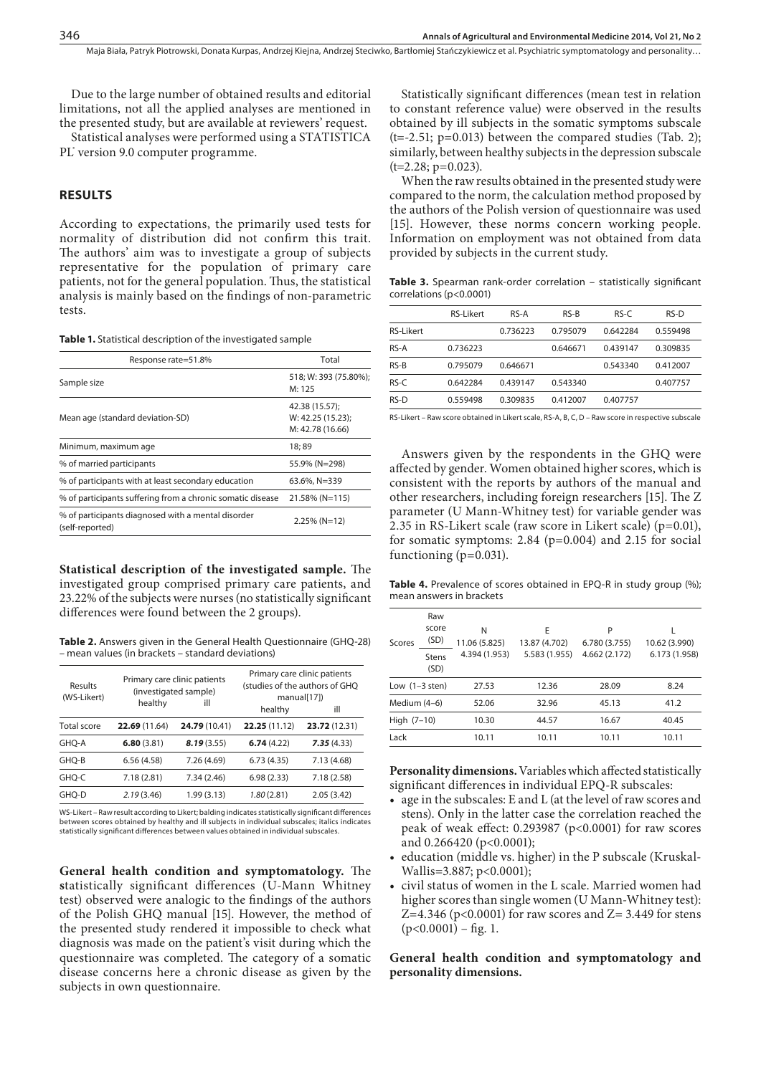Maja Biała, Patryk Piotrowski, Donata Kurpas, Andrzej Kiejna, Andrzej Steciwko, Bartłomiej Stańczykiewicz et al. Psychiatric symptomatology and personality...

Due to the large number of obtained results and editorial limitations, not all the applied analyses are mentioned in the presented study, but are available at reviewers' request.

Statistical analyses were performed using a STATISTICA PL<sup>®</sup> version 9.0 computer programme.

# **RESULTS**

According to expectations, the primarily used tests for normality of distribution did not confirm this trait. The authors' aim was to investigate a group of subjects representative for the population of primary care patients, not for the general population. Thus, the statistical analysis is mainly based on the findings of non-parametric tests.

**Table 1.** Statistical description of the investigated sample

| Response rate=51.8%                                                   | Total                                                   |  |
|-----------------------------------------------------------------------|---------------------------------------------------------|--|
| Sample size                                                           | 518; W: 393 (75.80%);<br>M: 125                         |  |
| Mean age (standard deviation-SD)                                      | 42.38 (15.57);<br>W: 42.25 (15.23);<br>M: 42.78 (16.66) |  |
| Minimum, maximum age                                                  | 18; 89                                                  |  |
| % of married participants                                             | 55.9% (N=298)                                           |  |
| % of participants with at least secondary education                   | 63.6%, N=339                                            |  |
| % of participants suffering from a chronic somatic disease            | $21.58\%$ (N=115)                                       |  |
| % of participants diagnosed with a mental disorder<br>(self-reported) | $2.25\%$ (N=12)                                         |  |

**Statistical description of the investigated sample.** The investigated group comprised primary care patients, and 23.22% of the subjects were nurses (no statistically significant differences were found between the 2 groups).

**Table 2.** Answers given in the General Health Questionnaire (GHQ-28) – mean values (in brackets – standard deviations)

| Results<br>(WS-Likert) | Primary care clinic patients<br>(investigated sample) |               | Primary care clinic patients<br>(studies of the authors of GHQ<br>manual[17] |               |  |
|------------------------|-------------------------------------------------------|---------------|------------------------------------------------------------------------------|---------------|--|
|                        | healthy                                               | ill           | healthy                                                                      | ill           |  |
| <b>Total score</b>     | 22.69 (11.64)                                         | 24.79 (10.41) | 22.25(11.12)                                                                 | 23.72 (12.31) |  |
| GHO-A                  | 6.80(3.81)                                            | 8.19(3.55)    | 6.74(4.22)                                                                   | 7.35(4.33)    |  |
| GHO-B                  | 6.56(4.58)                                            | 7.26 (4.69)   | 6.73(4.35)                                                                   | 7.13 (4.68)   |  |
| GHO-C                  | 7.18(2.81)                                            | 7.34 (2.46)   | 6.98(2.33)                                                                   | 7.18(2.58)    |  |
| GHO-D                  | 2.19(3.46)                                            | 1.99 (3.13)   | 1.80 (2.81)                                                                  | 2.05(3.42)    |  |

WS-Likert – Raw result according to Likert; balding indicates statistically significant differences between scores obtained by healthy and ill subjects in individual subscales; italics indicates statistically significant differences between values obtained in individual subscales.

**General health condition and symptomatology.** The **s**tatistically significant differences (U-Mann Whitney test) observed were analogic to the findings of the authors of the Polish GHQ manual [15]. However, the method of the presented study rendered it impossible to check what diagnosis was made on the patient's visit during which the questionnaire was completed. The category of a somatic disease concerns here a chronic disease as given by the subjects in own questionnaire.

Statistically significant differences (mean test in relation to constant reference value) were observed in the results obtained by ill subjects in the somatic symptoms subscale  $(t=-2.51; p=0.013)$  between the compared studies (Tab. 2); similarly, between healthy subjects in the depression subscale  $(t=2.28; p=0.023)$ .

When the raw results obtained in the presented study were compared to the norm, the calculation method proposed by the authors of the Polish version of questionnaire was used [15]. However, these norms concern working people. Information on employment was not obtained from data provided by subjects in the current study.

**Table 3.** Spearman rank-order correlation – statistically significant correlations (p<0.0001)

|                  | <b>RS-Likert</b> | RS-A     | $RS-B$   | RS-C     | $RS-D$   |
|------------------|------------------|----------|----------|----------|----------|
| <b>RS-Likert</b> |                  | 0.736223 | 0.795079 | 0.642284 | 0.559498 |
| RS-A             | 0.736223         |          | 0.646671 | 0.439147 | 0.309835 |
| $RS-B$           | 0.795079         | 0.646671 |          | 0.543340 | 0.412007 |
| RS-C             | 0.642284         | 0.439147 | 0.543340 |          | 0.407757 |
| RS-D             | 0.559498         | 0.309835 | 0.412007 | 0.407757 |          |

RS-Likert – Raw score obtained in Likert scale, RS-A, B, C, D – Raw score in respective subscale

Answers given by the respondents in the GHQ were affected by gender. Women obtained higher scores, which is consistent with the reports by authors of the manual and other researchers, including foreign researchers [15]. The Z parameter (U Mann-Whitney test) for variable gender was 2.35 in RS-Likert scale (raw score in Likert scale) (p=0.01), for somatic symptoms:  $2.84$  ( $p=0.004$ ) and  $2.15$  for social functioning  $(p=0.031)$ .

Table 4. Prevalence of scores obtained in EPQ-R in study group (%); mean answers in brackets

| Scores           | Raw<br>score<br>(SD) | N<br>11.06 (5.825) | E<br>13.87 (4.702) | P<br>6.780 (3.755) | 10.62 (3.990) |
|------------------|----------------------|--------------------|--------------------|--------------------|---------------|
|                  | Stens<br>(SD)        | 4.394 (1.953)      | 5.583 (1.955)      | 4.662 (2.172)      | 6.173 (1.958) |
| Low $(1-3$ sten) |                      | 27.53              | 12.36              | 28.09              | 8.24          |
| Medium (4-6)     |                      | 52.06              | 32.96              | 45.13              | 41.2          |
| High $(7-10)$    |                      | 10.30              | 44.57              | 16.67              | 40.45         |
| Lack             |                      | 10.11              | 10.11              | 10.11              | 10.11         |

**Personality dimensions.** Variables which affected statistically significant differences in individual EPQ-R subscales:

- • age in the subscales: E and L (at the level of raw scores and stens). Only in the latter case the correlation reached the peak of weak effect: 0.293987 (p<0.0001) for raw scores and 0.266420 (p<0.0001);
- education (middle vs. higher) in the P subscale (Kruskal-Wallis=3.887; p<0.0001);
- civil status of women in the L scale. Married women had higher scores than single women (U Mann-Whitney test): Z=4.346 ( $p$ <0.0001) for raw scores and Z= 3.449 for stens  $(p<0.0001)$  – fig. 1.

**General health condition and symptomatology and personality dimensions.**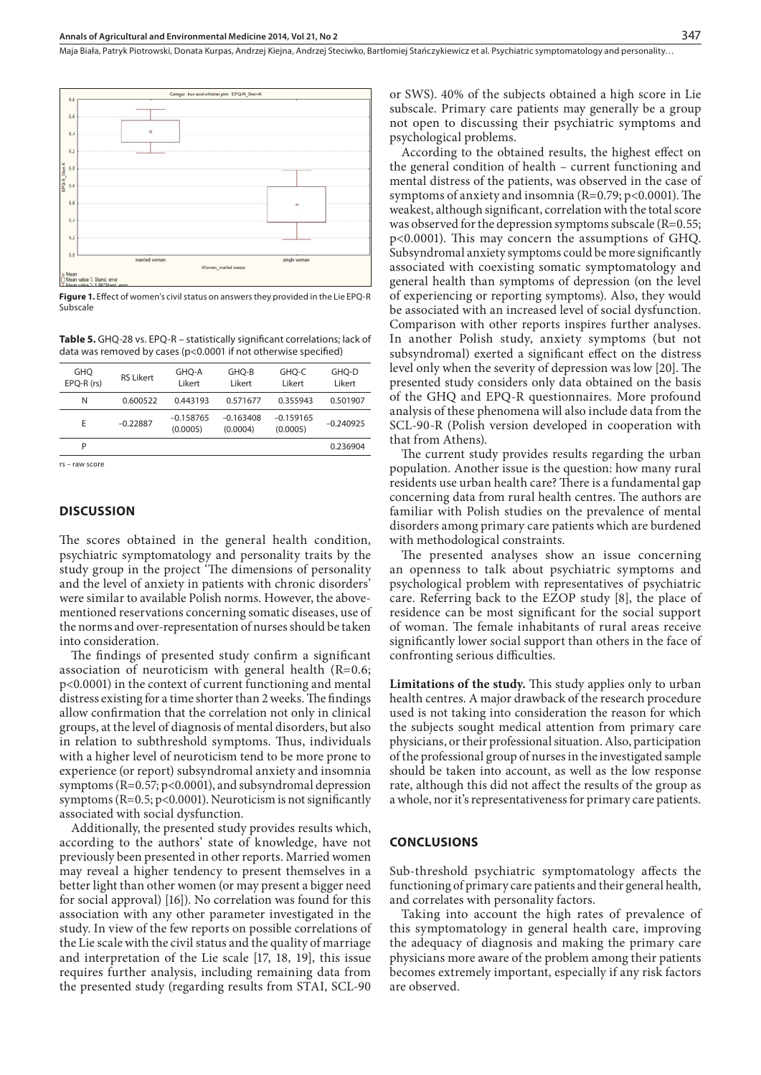Maja Biała, Patryk Piotrowski, Donata Kurpas, Andrzej Kiejna, Andrzej Steciwko, Bartłomiej Stańczykiewicz et al. Psychiatric symptomatology and personality...



**Figure 1.** Effect of women's civil status on answers they provided in the Lie EPQ-R Subscale

**Table 5.** GHQ-28 vs. EPQ-R – statistically significant correlations; lack of data was removed by cases (p<0.0001 if not otherwise specified)

| GHO<br>$EPO-R (rs)$ | <b>RSI</b> ikert | GHO-A<br>Likert         | GHO-B<br>Likert         | GHO-C<br>Likert         | GHO-D<br>Likert |
|---------------------|------------------|-------------------------|-------------------------|-------------------------|-----------------|
| N                   | 0.600522         | 0.443193                | 0.571677                | 0.355943                | 0.501907        |
| E                   | $-0.22887$       | $-0.158765$<br>(0.0005) | $-0.163408$<br>(0.0004) | $-0.159165$<br>(0.0005) | $-0.240925$     |
| P                   |                  |                         |                         |                         | 0.236904        |
|                     |                  |                         |                         |                         |                 |

rs – raw score

#### **DISCUSSION**

The scores obtained in the general health condition, psychiatric symptomatology and personality traits by the study group in the project 'The dimensions of personality and the level of anxiety in patients with chronic disorders' were similar to available Polish norms. However, the abovementioned reservations concerning somatic diseases, use of the norms and over-representation of nurses should be taken into consideration.

The findings of presented study confirm a significant association of neuroticism with general health (R=0.6; p<0.0001) in the context of current functioning and mental distress existing for a time shorter than 2 weeks. The findings allow confirmation that the correlation not only in clinical groups, at the level of diagnosis of mental disorders, but also in relation to subthreshold symptoms. Thus, individuals with a higher level of neuroticism tend to be more prone to experience (or report) subsyndromal anxiety and insomnia symptoms (R=0.57; p<0.0001), and subsyndromal depression symptoms ( $R=0.5$ ; p<0.0001). Neuroticism is not significantly associated with social dysfunction.

Additionally, the presented study provides results which, according to the authors' state of knowledge, have not previously been presented in other reports. Married women may reveal a higher tendency to present themselves in a better light than other women (or may present a bigger need for social approval) [16]). No correlation was found for this association with any other parameter investigated in the study. In view of the few reports on possible correlations of the Lie scale with the civil status and the quality of marriage and interpretation of the Lie scale [17, 18, 19], this issue requires further analysis, including remaining data from the presented study (regarding results from STAI, SCL-90

or SWS). 40% of the subjects obtained a high score in Lie subscale. Primary care patients may generally be a group not open to discussing their psychiatric symptoms and psychological problems.

According to the obtained results, the highest effect on the general condition of health – current functioning and mental distress of the patients, was observed in the case of symptoms of anxiety and insomnia ( $R=0.79$ ;  $p<0.0001$ ). The weakest, although significant, correlation with the total score was observed for the depression symptoms subscale (R=0.55; p<0.0001). This may concern the assumptions of GHQ. Subsyndromal anxiety symptoms could be more significantly associated with coexisting somatic symptomatology and general health than symptoms of depression (on the level of experiencing or reporting symptoms). Also, they would be associated with an increased level of social dysfunction. Comparison with other reports inspires further analyses. In another Polish study, anxiety symptoms (but not subsyndromal) exerted a significant effect on the distress level only when the severity of depression was low [20]. The presented study considers only data obtained on the basis of the GHQ and EPQ-R questionnaires. More profound analysis of these phenomena will also include data from the SCL-90-R (Polish version developed in cooperation with that from Athens).

The current study provides results regarding the urban population. Another issue is the question: how many rural residents use urban health care? There is a fundamental gap concerning data from rural health centres. The authors are familiar with Polish studies on the prevalence of mental disorders among primary care patients which are burdened with methodological constraints.

The presented analyses show an issue concerning an openness to talk about psychiatric symptoms and psychological problem with representatives of psychiatric care. Referring back to the EZOP study [8], the place of residence can be most significant for the social support of woman. The female inhabitants of rural areas receive significantly lower social support than others in the face of confronting serious difficulties.

**Limitations of the study.** This study applies only to urban health centres. A major drawback of the research procedure used is not taking into consideration the reason for which the subjects sought medical attention from primary care physicians, or their professional situation. Also, participation of the professional group of nurses in the investigated sample should be taken into account, as well as the low response rate, although this did not affect the results of the group as a whole, nor it's representativeness for primary care patients.

#### **CONCLUSIONS**

Sub-threshold psychiatric symptomatology affects the functioning of primary care patients and their general health, and correlates with personality factors.

Taking into account the high rates of prevalence of this symptomatology in general health care, improving the adequacy of diagnosis and making the primary care physicians more aware of the problem among their patients becomes extremely important, especially if any risk factors are observed.